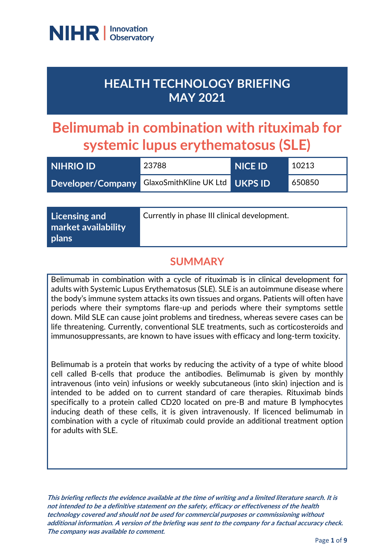

## **HEALTH TECHNOLOGY BRIEFING MAY 2021**

# **Belimumab in combination with rituximab for systemic lupus erythematosus (SLE)**

| <b>NIHRIO ID</b>                                 | 23788 | <b>NICE ID</b> | 10213  |
|--------------------------------------------------|-------|----------------|--------|
| Developer/Company GlaxoSmithKline UK Ltd UKPS ID |       |                | 650850 |

| Licensing and                | Currently in phase III clinical development. |
|------------------------------|----------------------------------------------|
| market availability<br>plans |                                              |

## **SUMMARY**

Belimumab in combination with a cycle of rituximab is in clinical development for adults with Systemic Lupus Erythematosus (SLE). SLE is an autoimmune disease where the body's immune system attacks its own tissues and organs. Patients will often have periods where their symptoms flare-up and periods where their symptoms settle down. Mild SLE can cause joint problems and tiredness, whereas severe cases can be life threatening. Currently, conventional SLE treatments, such as corticosteroids and immunosuppressants, are known to have issues with efficacy and long-term toxicity.

Belimumab is a protein that works by reducing the activity of a type of white blood cell called B-cells that produce the antibodies. Belimumab is given by monthly intravenous (into vein) infusions or weekly subcutaneous (into skin) injection and is intended to be added on to current standard of care therapies. Rituximab binds specifically to a protein called CD20 located on pre-B and mature B lymphocytes inducing death of these cells, it is given intravenously. If licenced belimumab in combination with a cycle of rituximab could provide an additional treatment option for adults with SLE.

**This briefing reflects the evidence available at the time of writing and a limited literature search. It is not intended to be a definitive statement on the safety, efficacy or effectiveness of the health technology covered and should not be used for commercial purposes or commissioning without additional information. A version of the briefing was sent to the company for a factual accuracy check. The company was available to comment.**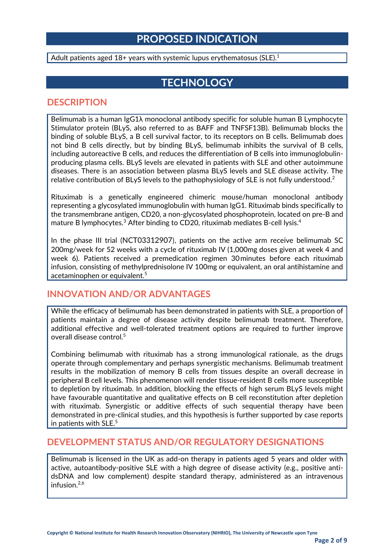## **PROPOSED INDICATION**

Adult patients aged  $18+$  years with systemic lupus erythematosus (SLE).<sup>1</sup>

## **TECHNOLOGY**

#### **DESCRIPTION**

Belimumab is a human IgG1λ monoclonal antibody specific for soluble human B Lymphocyte Stimulator protein (BLyS, also referred to as BAFF and TNFSF13B). Belimumab blocks the binding of soluble BLyS, a B cell survival factor, to its receptors on B cells. Belimumab does not bind B cells directly, but by binding BLyS, belimumab inhibits the survival of B cells, including autoreactive B cells, and reduces the differentiation of B cells into immunoglobulinproducing plasma cells. BLyS levels are elevated in patients with SLE and other autoimmune diseases. There is an association between plasma BLyS levels and SLE disease activity. The relative contribution of BLyS levels to the pathophysiology of SLE is not fully understood.<sup>2</sup>

Rituximab is a genetically engineered chimeric mouse/human monoclonal antibody representing a glycosylated immunoglobulin with human IgG1. Rituximab binds specifically to the transmembrane antigen, CD20, a non-glycosylated phosphoprotein, located on pre-B and mature B lymphocytes.<sup>3</sup> After binding to CD20, rituximab mediates B-cell lysis.<sup>4</sup>

In the phase III trial (NCT03312907), patients on the active arm receive belimumab SC 200mg/week for 52 weeks with a cycle of rituximab IV (1,000mg doses given at week 4 and week 6). Patients received a premedication regimen 30 minutes before each rituximab infusion, consisting of methylprednisolone IV 100mg or equivalent, an oral antihistamine and acetaminophen or equivalent.<sup>5</sup>

#### **INNOVATION AND/OR ADVANTAGES**

While the efficacy of belimumab has been demonstrated in patients with SLE, a proportion of patients maintain a degree of disease activity despite belimumab treatment. Therefore, additional effective and well-tolerated treatment options are required to further improve overall disease control.<sup>5</sup>

Combining belimumab with rituximab has a strong immunological rationale, as the drugs operate through complementary and perhaps synergistic mechanisms. Belimumab treatment results in the mobilization of memory B cells from tissues despite an overall decrease in peripheral B cell levels. This phenomenon will render tissue-resident B cells more susceptible to depletion by rituximab. In addition, blocking the effects of high serum BLyS levels might have favourable quantitative and qualitative effects on B cell reconstitution after depletion with rituximab. Synergistic or additive effects of such sequential therapy have been demonstrated in pre-clinical studies, and this hypothesis is further supported by case reports in patients with SLE.<sup>5</sup>

#### **DEVELOPMENT STATUS AND/OR REGULATORY DESIGNATIONS**

Belimumab is licensed in the UK as add-on therapy in patients aged 5 years and older with active, autoantibody-positive SLE with a high degree of disease activity (e.g., positive antidsDNA and low complement) despite standard therapy, administered as an intravenous infusion.2,6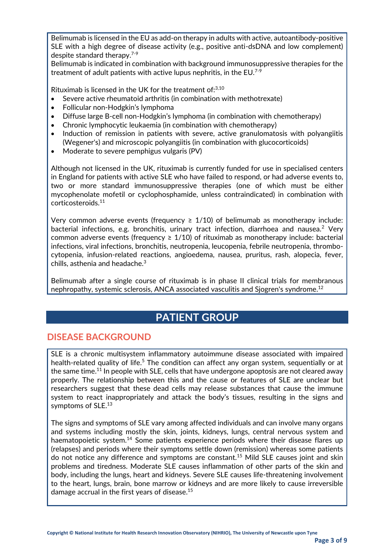Belimumab is licensed in the EU as add-on therapy in adults with active, autoantibody-positive SLE with a high degree of disease activity (e.g., positive anti-dsDNA and low complement) despite standard therapy. 7-9

Belimumab is indicated in combination with background immunosuppressive therapies for the treatment of adult patients with active lupus nephritis, in the  $EU^{7-9}$ 

Rituximab is licensed in the UK for the treatment of: $3,10$ 

- Severe active rheumatoid arthritis (in combination with methotrexate)
- Follicular non-Hodgkin's lymphoma
- Diffuse large B-cell non-Hodgkin's lymphoma (in combination with chemotherapy)
- Chronic lymphocytic leukaemia (in combination with chemotherapy)
- Induction of remission in patients with severe, active granulomatosis with polyangiitis (Wegener's) and microscopic polyangiitis (in combination with glucocorticoids)
- Moderate to severe pemphigus vulgaris (PV)

Although not licensed in the UK, rituximab is currently funded for use in specialised centers in England for patients with active SLE who have failed to respond, or had adverse events to, two or more standard immunosuppressive therapies (one of which must be either mycophenolate mofetil or cyclophosphamide, unless contraindicated) in combination with corticosteroids.<sup>11</sup>

Very common adverse events (frequency  $\geq 1/10$ ) of belimumab as monotherapy include: bacterial infections, e.g. bronchitis, urinary tract infection, diarrhoea and nausea.<sup>2</sup> Very common adverse events (frequency  $\geq 1/10$ ) of rituximab as monotherapy include: bacterial infections, viral infections, bronchitis, neutropenia, leucopenia, febrile neutropenia, thrombocytopenia, infusion-related reactions, angioedema, nausea, pruritus, rash, alopecia, fever, chills, asthenia and headache.<sup>3</sup>

Belimumab after a single course of rituximab is in phase II clinical trials for membranous nephropathy, systemic sclerosis, ANCA associated vasculitis and Sjogren's syndrome.<sup>12</sup>

## **PATIENT GROUP**

#### **DISEASE BACKGROUND**

SLE is a chronic multisystem inflammatory autoimmune disease associated with impaired health-related quality of life.<sup>5</sup> The condition can affect any organ system, sequentially or at the same time. $^{11}$  In people with SLE, cells that have undergone apoptosis are not cleared away properly. The relationship between this and the cause or features of SLE are unclear but researchers suggest that these dead cells may release substances that cause the immune system to react inappropriately and attack the body's tissues, resulting in the signs and symptoms of SLE.<sup>13</sup>

The signs and symptoms of SLE vary among affected individuals and can involve many organs and systems including mostly the skin, joints, kidneys, lungs, central nervous system and haematopoietic system.<sup>14</sup> Some patients experience periods where their disease flares up (relapses) and periods where their symptoms settle down (remission) whereas some patients do not notice any difference and symptoms are constant.<sup>15</sup> Mild SLE causes joint and skin problems and tiredness. Moderate SLE causes inflammation of other parts of the skin and body, including the lungs, heart and kidneys. Severe SLE causes life-threatening involvement to the heart, lungs, brain, bone marrow or kidneys and are more likely to cause irreversible damage accrual in the first years of disease.<sup>15</sup>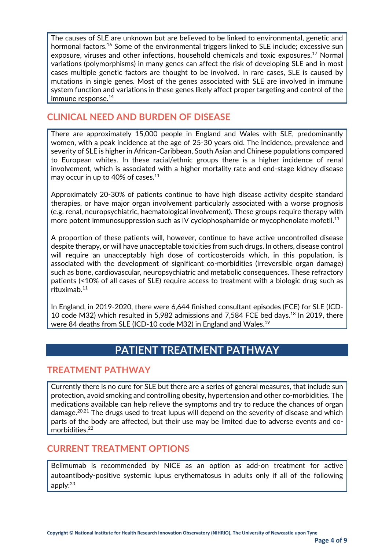The causes of SLE are unknown but are believed to be linked to environmental, genetic and hormonal factors.<sup>16</sup> Some of the environmental triggers linked to SLE include; excessive sun exposure, viruses and other infections, household chemicals and toxic exposures.<sup>17</sup> Normal variations (polymorphisms) in many genes can affect the risk of developing SLE and in most cases multiple genetic factors are thought to be involved. In rare cases, SLE is caused by mutations in single genes. Most of the genes associated with SLE are involved in immune system function and variations in these genes likely affect proper targeting and control of the immune response.<sup>14</sup>

#### **CLINICAL NEED AND BURDEN OF DISEASE**

There are approximately 15,000 people in England and Wales with SLE, predominantly women, with a peak incidence at the age of 25-30 years old. The incidence, prevalence and severity of SLE is higher in African-Caribbean, South Asian and Chinese populations compared to European whites. In these racial/ethnic groups there is a higher incidence of renal involvement, which is associated with a higher mortality rate and end-stage kidney disease may occur in up to 40% of cases. $11$ 

Approximately 20-30% of patients continue to have high disease activity despite standard therapies, or have major organ involvement particularly associated with a worse prognosis (e.g. renal, neuropsychiatric, haematological involvement). These groups require therapy with more potent immunosuppression such as IV cyclophosphamide or mycophenolate mofetil.<sup>11</sup>

A proportion of these patients will, however, continue to have active uncontrolled disease despite therapy, or will have unacceptable toxicities from such drugs. In others, disease control will require an unacceptably high dose of corticosteroids which, in this population, is associated with the development of significant co-morbidities (irreversible organ damage) such as bone, cardiovascular, neuropsychiatric and metabolic consequences. These refractory patients (<10% of all cases of SLE) require access to treatment with a biologic drug such as rituximab. 11

In England, in 2019-2020, there were 6,644 finished consultant episodes (FCE) for SLE (ICD-10 code M32) which resulted in 5,982 admissions and 7,584 FCE bed days.<sup>18</sup> In 2019, there were 84 deaths from SLE (ICD-10 code M32) in England and Wales.<sup>19</sup>

## **PATIENT TREATMENT PATHWAY**

#### **TREATMENT PATHWAY**

Currently there is no cure for SLE but there are a series of general measures, that include sun protection, avoid smoking and controlling obesity, hypertension and other co-morbidities. The medications available can help relieve the symptoms and try to reduce the chances of organ damage.<sup>20,21</sup> The drugs used to treat lupus will depend on the severity of disease and which parts of the body are affected, but their use may be limited due to adverse events and comorbidities. 22

#### **CURRENT TREATMENT OPTIONS**

Belimumab is recommended by NICE as an option as add-on treatment for active autoantibody-positive systemic lupus erythematosus in adults only if all of the following apply:23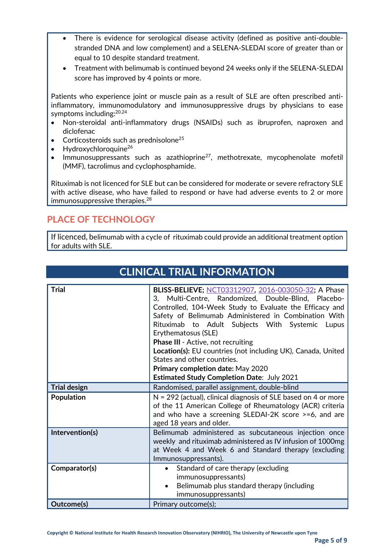- There is evidence for serological disease activity (defined as positive anti-doublestranded DNA and low complement) and a SELENA-SLEDAI score of greater than or equal to 10 despite standard treatment.
- Treatment with belimumab is continued beyond 24 weeks only if the SELENA-SLEDAI score has improved by 4 points or more.

Patients who experience joint or muscle pain as a result of SLE are often prescribed antiinflammatory, immunomodulatory and immunosuppressive drugs by physicians to ease symptoms including:<sup>20,24</sup>

- Non-steroidal anti-inflammatory drugs (NSAIDs) such as ibruprofen, naproxen and diclofenac
- Corticosteroids such as prednisolone<sup>25</sup>
- Hydroxychloroquine<sup>26</sup>
- Immunosuppressants such as azathioprine<sup>27</sup>, methotrexate, mycophenolate mofetil (MMF), tacrolimus and cyclophosphamide.

Rituximab is not licenced for SLE but can be considered for moderate or severe refractory SLE with active disease, who have failed to respond or have had adverse events to 2 or more immunosuppressive therapies. $^{28}$ 

## **PLACE OF TECHNOLOGY**

If licenced, belimumab with a cycle of rituximab could provide an additional treatment option for adults with SLE.

**CLINICAL TRIAL INFORMATION**

| CLINICAL TRIAL INFORMATION |                                                                                                                                                                                                                                                                                                                                                                                                                                                                                             |  |
|----------------------------|---------------------------------------------------------------------------------------------------------------------------------------------------------------------------------------------------------------------------------------------------------------------------------------------------------------------------------------------------------------------------------------------------------------------------------------------------------------------------------------------|--|
|                            |                                                                                                                                                                                                                                                                                                                                                                                                                                                                                             |  |
| <b>Trial</b>               | BLISS-BELIEVE; NCT03312907, 2016-003050-32; A Phase<br>3, Multi-Centre, Randomized, Double-Blind, Placebo-<br>Controlled, 104-Week Study to Evaluate the Efficacy and<br>Safety of Belimumab Administered in Combination With<br>Rituximab to Adult Subjects With Systemic<br>Lupus<br>Erythematosus (SLE)<br><b>Phase III - Active, not recruiting</b><br>Location(s): EU countries (not including UK), Canada, United<br>States and other countries.<br>Primary completion date: May 2020 |  |
|                            | <b>Estimated Study Completion Date: July 2021</b>                                                                                                                                                                                                                                                                                                                                                                                                                                           |  |
| <b>Trial design</b>        | Randomised, parallel assignment, double-blind                                                                                                                                                                                                                                                                                                                                                                                                                                               |  |
|                            |                                                                                                                                                                                                                                                                                                                                                                                                                                                                                             |  |
| Population                 | $N = 292$ (actual), clinical diagnosis of SLE based on 4 or more<br>of the 11 American College of Rheumatology (ACR) criteria<br>and who have a screening SLEDAI-2K score >=6, and are<br>aged 18 years and older.                                                                                                                                                                                                                                                                          |  |
| Intervention(s)            | Belimumab administered as subcutaneous injection once<br>weekly and rituximab administered as IV infusion of 1000mg<br>at Week 4 and Week 6 and Standard therapy (excluding<br>Immunosuppressants).                                                                                                                                                                                                                                                                                         |  |
| Comparator(s)              | Standard of care therapy (excluding<br>$\bullet$<br>immunosuppressants)<br>Belimumab plus standard therapy (including<br>immunosuppressants)                                                                                                                                                                                                                                                                                                                                                |  |
| Outcome(s)                 | Primary outcome(s);                                                                                                                                                                                                                                                                                                                                                                                                                                                                         |  |

**Copyright © National Institute for Health Research Innovation Observatory (NIHRIO), The University of Newcastle upon Tyne**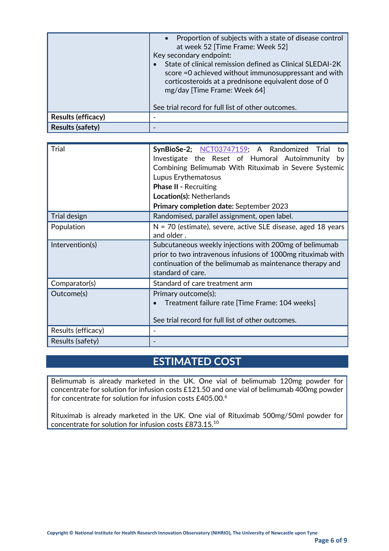|                         | • Proportion of subjects with a state of disease control<br>at week 52 [Time Frame: Week 52]<br>Key secondary endpoint:<br>State of clinical remission defined as Clinical SLEDAI-2K<br>score = 0 achieved without immunosuppressant and with<br>corticosteroids at a prednisone equivalent dose of 0<br>mg/day [Time Frame: Week 64]<br>See trial record for full list of other outcomes. |
|-------------------------|--------------------------------------------------------------------------------------------------------------------------------------------------------------------------------------------------------------------------------------------------------------------------------------------------------------------------------------------------------------------------------------------|
| Results (efficacy)      |                                                                                                                                                                                                                                                                                                                                                                                            |
| <b>Results (safety)</b> |                                                                                                                                                                                                                                                                                                                                                                                            |

| Trial              | SynBioSe-2; NCT03747159; A Randomized Trial<br>to<br>Investigate the Reset of Humoral Autoimmunity<br>by<br>Combining Belimumab With Rituximab in Severe Systemic<br>Lupus Erythematosus<br><b>Phase II - Recruiting</b><br>Location(s): Netherlands<br>Primary completion date: September 2023 |
|--------------------|-------------------------------------------------------------------------------------------------------------------------------------------------------------------------------------------------------------------------------------------------------------------------------------------------|
| Trial design       | Randomised, parallel assignment, open label.                                                                                                                                                                                                                                                    |
| Population         | $N = 70$ (estimate), severe, active SLE disease, aged 18 years<br>and older.                                                                                                                                                                                                                    |
| Intervention(s)    | Subcutaneous weekly injections with 200mg of belimumab<br>prior to two intravenous infusions of 1000mg rituximab with<br>continuation of the belimumab as maintenance therapy and<br>standard of care.                                                                                          |
| Comparator(s)      | Standard of care treatment arm                                                                                                                                                                                                                                                                  |
| Outcome(s)         | Primary outcome(s);<br>Treatment failure rate [Time Frame: 104 weeks]<br>See trial record for full list of other outcomes.                                                                                                                                                                      |
| Results (efficacy) |                                                                                                                                                                                                                                                                                                 |
| Results (safety)   |                                                                                                                                                                                                                                                                                                 |

## **ESTIMATED COST**

Belimumab is already marketed in the UK. One vial of belimumab 120mg powder for concentrate for solution for infusion costs £121.50 and one vial of belimumab 400mg powder for concentrate for solution for infusion costs £405.00.<sup>6</sup>

Rituximab is already marketed in the UK. One vial of Rituximab 500mg/50ml powder for concentrate for solution for infusion costs £873.15.10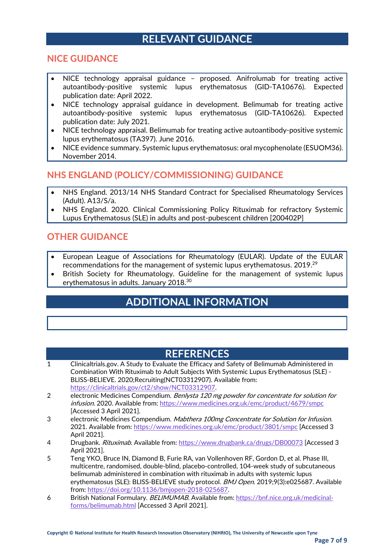## **RELEVANT GUIDANCE**

#### **NICE GUIDANCE**

- NICE technology appraisal guidance proposed. Anifrolumab for treating active autoantibody-positive systemic lupus erythematosus (GID-TA10676). Expected publication date: April 2022.
- NICE technology appraisal guidance in development. Belimumab for treating active autoantibody-positive systemic lupus erythematosus (GID-TA10626). Expected publication date: July 2021.
- NICE technology appraisal. Belimumab for treating active autoantibody-positive systemic lupus erythematosus (TA397). June 2016.
- NICE evidence summary. Systemic lupus erythematosus: oral mycophenolate (ESUOM36). November 2014.

#### **NHS ENGLAND (POLICY/COMMISSIONING) GUIDANCE**

- NHS England. 2013/14 NHS Standard Contract for Specialised Rheumatology Services (Adult). A13/S/a.
- NHS England. 2020. Clinical Commissioning Policy Rituximab for refractory Systemic Lupus Erythematosus (SLE) in adults and post-pubescent children [200402P]

#### **OTHER GUIDANCE**

- European League of Associations for Rheumatology (EULAR). Update of the EULAR recommendations for the management of systemic lupus erythematosus. 2019. $^{29}$
- British Society for Rheumatology. Guideline for the management of systemic lupus erythematosus in adults. January 2018.<sup>30</sup>

## **ADDITIONAL INFORMATION**

### **REFERENCES**

- 1 Clinicaltrials.gov. A Study to Evaluate the Efficacy and Safety of Belimumab Administered in Combination With Rituximab to Adult Subjects With Systemic Lupus Erythematosus (SLE) - BLISS-BELIEVE. 2020;Recruiting(NCT03312907). Available from: [https://clinicaltrials.gov/ct2/show/NCT03312907.](https://clinicaltrials.gov/ct2/show/NCT03312907)
- 2 electronic Medicines Compendium. Benlysta 120 mg powder for concentrate for solution for infusion. 2020. Available from[: https://www.medicines.org.uk/emc/product/4679/smpc](https://www.medicines.org.uk/emc/product/4679/smpc) [Accessed 3 April 2021].
- 3 electronic Medicines Compendium. Mabthera 100mg Concentrate for Solution for Infusion. 2021. Available from[: https://www.medicines.org.uk/emc/product/3801/smpc](https://www.medicines.org.uk/emc/product/3801/smpc) [Accessed 3 April 2021].
- 4 Drugbank. Rituximab. Available from[: https://www.drugbank.ca/drugs/DB00073](https://www.drugbank.ca/drugs/DB00073) [Accessed 3 April 2021].
- 5 Teng YKO, Bruce IN, Diamond B, Furie RA, van Vollenhoven RF, Gordon D, et al. Phase III, multicentre, randomised, double-blind, placebo-controlled, 104-week study of subcutaneous belimumab administered in combination with rituximab in adults with systemic lupus erythematosus (SLE): BLISS-BELIEVE study protocol. BMJ Open. 2019;9(3):e025687. Available from: [https://doi.org/10.1136/bmjopen-2018-025687.](https://doi.org/10.1136/bmjopen-2018-025687)
- 6 British National Formulary. BELIMUMAB. Available from: [https://bnf.nice.org.uk/medicinal](https://bnf.nice.org.uk/medicinal-forms/belimumab.html)[forms/belimumab.html](https://bnf.nice.org.uk/medicinal-forms/belimumab.html) [Accessed 3 April 2021].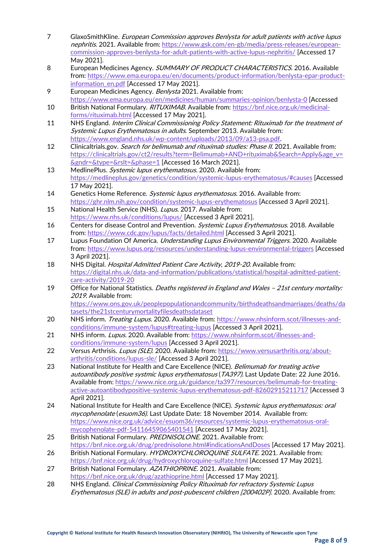- 7 GlaxoSmithKline. European Commission approves Benlysta for adult patients with active lupus nephritis. 2021. Available from: [https://www.gsk.com/en-gb/media/press-releases/european](https://www.gsk.com/en-gb/media/press-releases/european-commission-approves-benlysta-for-adult-patients-with-active-lupus-nephritis/)[commission-approves-benlysta-for-adult-patients-with-active-lupus-nephritis/](https://www.gsk.com/en-gb/media/press-releases/european-commission-approves-benlysta-for-adult-patients-with-active-lupus-nephritis/) [Accessed 17 May 2021].
- 8 European Medicines Agency. SUMMARY OF PRODUCT CHARACTERISTICS. 2016. Available from: [https://www.ema.europa.eu/en/documents/product-information/benlysta-epar-product](https://www.ema.europa.eu/en/documents/product-information/benlysta-epar-product-information_en.pdf)[information\\_en.pdf](https://www.ema.europa.eu/en/documents/product-information/benlysta-epar-product-information_en.pdf) [Accessed 17 May 2021].
- 9 European Medicines Agency. *Benlysta* 2021. Available from: <https://www.ema.europa.eu/en/medicines/human/summaries-opinion/benlysta-0> [Accessed
- 10 British National Formulary. RITUXIMAB. Available from: [https://bnf.nice.org.uk/medicinal](https://bnf.nice.org.uk/medicinal-forms/rituximab.html)[forms/rituximab.html](https://bnf.nice.org.uk/medicinal-forms/rituximab.html) [Accessed 17 May 2021].
- 11 NHS England. *Interim Clinical Commissioning Policy Statement: Rituximab for the treatment of* Systemic Lupus Erythematosus in adults. September 2013. Available from: [https://www.england.nhs.uk/wp-content/uploads/2013/09/a13-psa.pdf.](https://www.england.nhs.uk/wp-content/uploads/2013/09/a13-psa.pdf)
- 12 Clinicaltrials.gov. Search for belimumab and rituximab studies: Phase II. 2021. Available from: [https://clinicaltrials.gov/ct2/results?term=Belimumab+AND+rituximab&Search=Apply&age\\_v=](https://clinicaltrials.gov/ct2/results?term=Belimumab+AND+rituximab&Search=Apply&age_v=&gndr=&type=&rslt=&phase=1) [&gndr=&type=&rslt=&phase=1](https://clinicaltrials.gov/ct2/results?term=Belimumab+AND+rituximab&Search=Apply&age_v=&gndr=&type=&rslt=&phase=1) [Accessed 16 March 2021].
- 13 MedlinePlus. Systemic lupus erythematosus. 2020. Available from: <https://medlineplus.gov/genetics/condition/systemic-lupus-erythematosus/#causes> [Accessed 17 May 2021].
- 14 Genetics Home Reference. Systemic lupus erythematosus. 2016. Available from: <https://ghr.nlm.nih.gov/condition/systemic-lupus-erythematosus> [Accessed 3 April 2021].
- 15 National Health Service (NHS). Lupus. 2017. Available from: <https://www.nhs.uk/conditions/lupus/> [Accessed 3 April 2021].
- 16 Centers for disease Control and Prevention. Systemic Lupus Erythematosus. 2018. Available from:<https://www.cdc.gov/lupus/facts/detailed.html> [Accessed 3 April 2021].
- 17 Lupus Foundation Of America. Understanding Lupus Environmental Triggers. 2020. Available from:<https://www.lupus.org/resources/understanding-lupus-environmental-triggers> [Accessed 3 April 2021].
- 18 NHS Digital. *Hospital Admitted Patient Care Activity, 2019-20*. Available from: [https://digital.nhs.uk/data-and-information/publications/statistical/hospital-admitted-patient](https://digital.nhs.uk/data-and-information/publications/statistical/hospital-admitted-patient-care-activity/2019-20)[care-activity/2019-20](https://digital.nhs.uk/data-and-information/publications/statistical/hospital-admitted-patient-care-activity/2019-20)
- 19 Office for National Statistics. Deaths registered in England and Wales 21st century mortality: 2019. Available from: [https://www.ons.gov.uk/peoplepopulationandcommunity/birthsdeathsandmarriages/deaths/da](https://www.ons.gov.uk/peoplepopulationandcommunity/birthsdeathsandmarriages/deaths/datasets/the21stcenturymortalityfilesdeathsdataset)

[tasets/the21stcenturymortalityfilesdeathsdataset](https://www.ons.gov.uk/peoplepopulationandcommunity/birthsdeathsandmarriages/deaths/datasets/the21stcenturymortalityfilesdeathsdataset)

- 20 NHS inform. Treating Lupus. 2020. Available from: [https://www.nhsinform.scot/illnesses-and](https://www.nhsinform.scot/illnesses-and-conditions/immune-system/lupus#treating-lupus)[conditions/immune-system/lupus#treating-lupus](https://www.nhsinform.scot/illnesses-and-conditions/immune-system/lupus#treating-lupus) [Accessed 3 April 2021].
- 21 NHS inform. Lupus. 2020. Available from: [https://www.nhsinform.scot/illnesses-and](https://www.nhsinform.scot/illnesses-and-conditions/immune-system/lupus)[conditions/immune-system/lupus](https://www.nhsinform.scot/illnesses-and-conditions/immune-system/lupus) [Accessed 3 April 2021].
- 22 Versus Arthrisis. Lupus (SLE). 2020. Available from: [https://www.versusarthritis.org/about](https://www.versusarthritis.org/about-arthritis/conditions/lupus-sle/)[arthritis/conditions/lupus-sle/](https://www.versusarthritis.org/about-arthritis/conditions/lupus-sle/) [Accessed 3 April 2021].
- 23 National Institute for Health and Care Excellence (NICE). Belimumab for treating active autoantibody positive systmic lupus erythematosus (TA397). Last Update Date: 22 June 2016. Available from[: https://www.nice.org.uk/guidance/ta397/resources/belimumab-for-treating](https://www.nice.org.uk/guidance/ta397/resources/belimumab-for-treating-active-autoantibodypositive-systemic-lupus-erythematosus-pdf-82602915211717)[active-autoantibodypositive-systemic-lupus-erythematosus-pdf-82602915211717](https://www.nice.org.uk/guidance/ta397/resources/belimumab-for-treating-active-autoantibodypositive-systemic-lupus-erythematosus-pdf-82602915211717) [Accessed 3 April 2021].
- 24 National Institute for Health and Care Excellence (NICE). Systemic lupus erythematosus: oral mycophenolate (esuom36). Last Update Date: 18 November 2014. Available from: [https://www.nice.org.uk/advice/esuom36/resources/systemic-lupus-erythematosus-oral](https://www.nice.org.uk/advice/esuom36/resources/systemic-lupus-erythematosus-oral-mycophenolate-pdf-54116459065401541)[mycophenolate-pdf-54116459065401541](https://www.nice.org.uk/advice/esuom36/resources/systemic-lupus-erythematosus-oral-mycophenolate-pdf-54116459065401541) [Accessed 17 May 2021].
- 25 British National Formulary. PREDNISOLONE. 2021. Available from: <https://bnf.nice.org.uk/drug/prednisolone.html#indicationsAndDoses> [Accessed 17 May 2021].
- 26 British National Formulary. HYDROXYCHLOROQUINE SULFATE. 2021. Available from: <https://bnf.nice.org.uk/drug/hydroxychloroquine-sulfate.html> [Accessed 17 May 2021].
- 27 British National Formulary. AZATHIOPRINE. 2021. Available from: <https://bnf.nice.org.uk/drug/azathioprine.html> [Accessed 17 May 2021].
- 28 NHS England. Clinical Commissioning Policy Rituximab for refractory Systemic Lupus Erythematosus (SLE) in adults and post-pubescent children [200402P]. 2020. Available from: